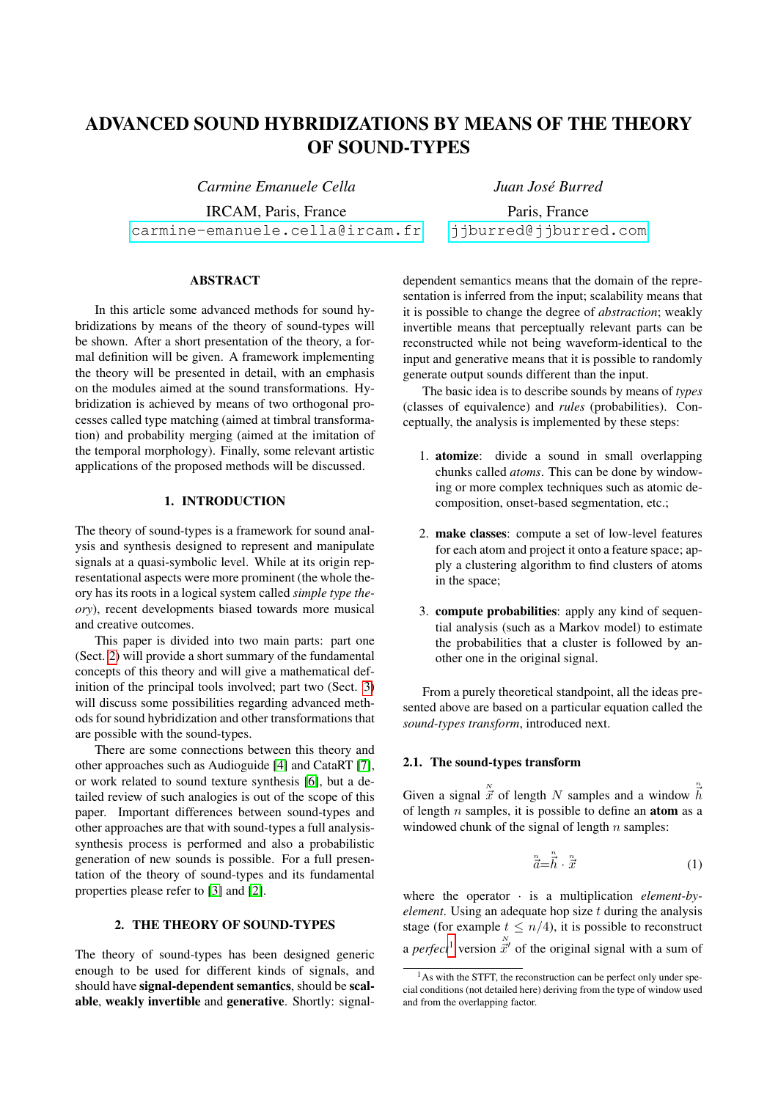# ADVANCED SOUND HYBRIDIZATIONS BY MEANS OF THE THEORY OF SOUND-TYPES

*Carmine Emanuele Cella*

IRCAM, Paris, France [carmine-emanuele.cella@ircam.fr](mailto:carmine-emanuele.cella@ircam.fr)

# ABSTRACT

In this article some advanced methods for sound hybridizations by means of the theory of sound-types will be shown. After a short presentation of the theory, a formal definition will be given. A framework implementing the theory will be presented in detail, with an emphasis on the modules aimed at the sound transformations. Hybridization is achieved by means of two orthogonal processes called type matching (aimed at timbral transformation) and probability merging (aimed at the imitation of the temporal morphology). Finally, some relevant artistic applications of the proposed methods will be discussed.

## 1. INTRODUCTION

The theory of sound-types is a framework for sound analysis and synthesis designed to represent and manipulate signals at a quasi-symbolic level. While at its origin representational aspects were more prominent (the whole theory has its roots in a logical system called *simple type theory*), recent developments biased towards more musical and creative outcomes.

This paper is divided into two main parts: part one (Sect. [2\)](#page-0-0) will provide a short summary of the fundamental concepts of this theory and will give a mathematical definition of the principal tools involved; part two (Sect. [3\)](#page-2-0) will discuss some possibilities regarding advanced methods for sound hybridization and other transformations that are possible with the sound-types.

There are some connections between this theory and other approaches such as Audioguide [\[4\]](#page-7-0) and CataRT [\[7\]](#page-7-1), or work related to sound texture synthesis [\[6\]](#page-7-2), but a detailed review of such analogies is out of the scope of this paper. Important differences between sound-types and other approaches are that with sound-types a full analysissynthesis process is performed and also a probabilistic generation of new sounds is possible. For a full presentation of the theory of sound-types and its fundamental properties please refer to [\[3\]](#page-7-3) and [\[2\]](#page-7-4).

## 2. THE THEORY OF SOUND-TYPES

<span id="page-0-0"></span>The theory of sound-types has been designed generic enough to be used for different kinds of signals, and should have signal-dependent semantics, should be scalable, weakly invertible and generative. Shortly: signal*Juan Jose Burred ´*

Paris, France [jjburred@jjburred.com](mailto:carmine-emanuele.cella@ircam.fr)

dependent semantics means that the domain of the representation is inferred from the input; scalability means that it is possible to change the degree of *abstraction*; weakly invertible means that perceptually relevant parts can be reconstructed while not being waveform-identical to the input and generative means that it is possible to randomly generate output sounds different than the input.

The basic idea is to describe sounds by means of *types* (classes of equivalence) and *rules* (probabilities). Conceptually, the analysis is implemented by these steps:

- 1. atomize: divide a sound in small overlapping chunks called *atoms*. This can be done by windowing or more complex techniques such as atomic decomposition, onset-based segmentation, etc.;
- 2. make classes: compute a set of low-level features for each atom and project it onto a feature space; apply a clustering algorithm to find clusters of atoms in the space;
- 3. compute probabilities: apply any kind of sequential analysis (such as a Markov model) to estimate the probabilities that a cluster is followed by another one in the original signal.

From a purely theoretical standpoint, all the ideas presented above are based on a particular equation called the *sound-types transform*, introduced next.

#### 2.1. The sound-types transform

Given a signal  $\overline{x}$  of length N samples and a window  $\overline{h}$ of length  $n$  samples, it is possible to define an **atom** as a windowed chunk of the signal of length  $n$  samples:

<span id="page-0-2"></span>
$$
\vec{\vec{a}} = \vec{\vec{h}} \cdot \vec{\vec{x}} \tag{1}
$$

where the operator · is a multiplication *element-byelement*. Using an adequate hop size t during the analysis stage (for example  $t \leq n/4$ ), it is possible to reconstruct a *perfect*<sup>[1](#page-0-1)</sup> version  $\vec{x}'$  of the original signal with a sum of

<span id="page-0-1"></span> $<sup>1</sup>$ As with the STFT, the reconstruction can be perfect only under spe-</sup> cial conditions (not detailed here) deriving from the type of window used and from the overlapping factor.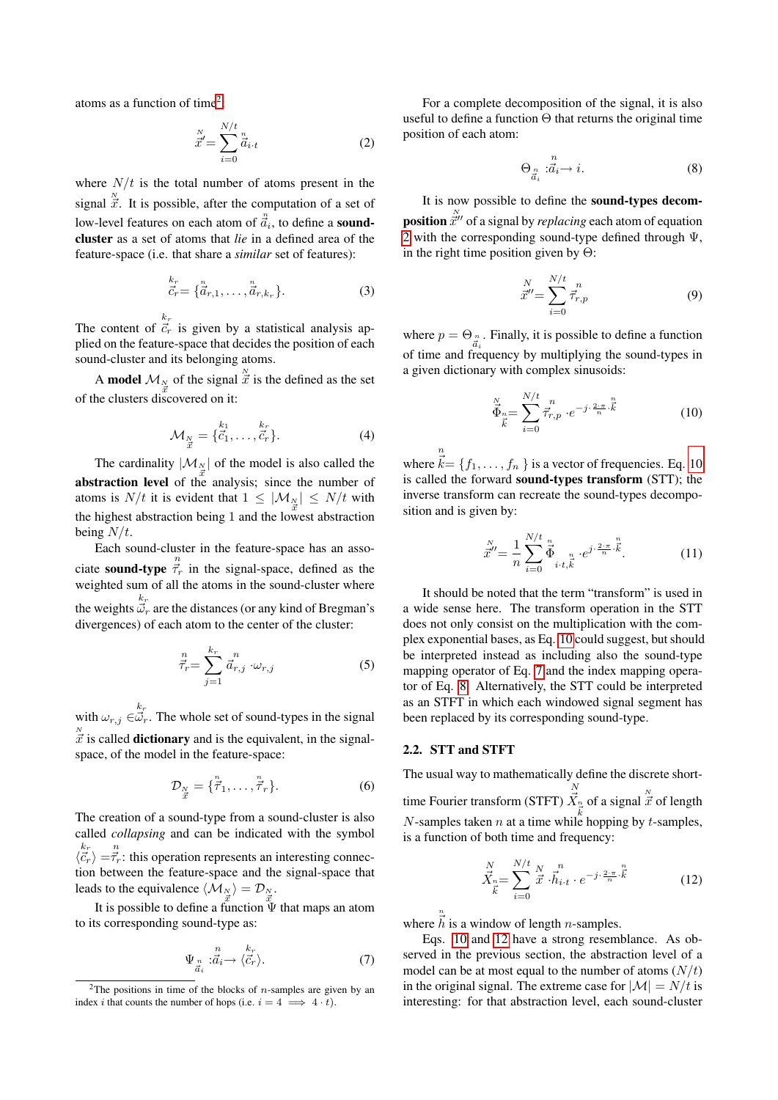atoms as a function of time<sup>[2](#page-1-0)</sup>:

<span id="page-1-1"></span>
$$
\vec{x}' = \sum_{i=0}^{N/t} \vec{a}_{i \cdot t} \tag{2}
$$

where  $N/t$  is the total number of atoms present in the signal  $\overline{\vec{x}}$ . It is possible, after the computation of a set of low-level features on each atom of  $\ddot{a}_{i}$ , to define a **sound**cluster as a set of atoms that *lie* in a defined area of the feature-space (i.e. that share a *similar* set of features):

$$
\vec{\vec{c}}_r = \{\vec{\vec{a}}_{r,1}, \dots, \vec{\vec{a}}_{r,k_r}\}.
$$
 (3)

The content of  $\overline{c}_r^k$  is given by a statistical analysis applied on the feature-space that decides the position of each sound-cluster and its belonging atoms.

A model  $\mathcal{M}_{\frac{N}{\tilde{x}}}$  of the signal  $\frac{N}{\tilde{x}}$  is the defined as the set of the clusters discovered on it:

$$
\mathcal{M}_{\frac{N}{\vec{x}}} = \{ \vec{c}_1^{\,k_1}, \dots, \vec{c}_r^{\,k_r} \}. \tag{4}
$$

The cardinality  $|\mathcal{M}_N|$  of the model is also called the abstraction level of the analysis; since the number of atoms is  $N/t$  it is evident that  $1 \leq |\mathcal{M}_\frac{N}{x}| \leq N/t$  with the highest abstraction being 1 and the lowest abstraction being  $N/t$ .

Each sound-cluster in the feature-space has an associate **sound-type**  $\vec{\tau}_r$  in the signal-space, defined as the weighted sum of all the atoms in the sound-cluster where the weights  $\vec{\omega}_r$  are the distances (or any kind of Bregman's divergences) of each atom to the center of the cluster:

<span id="page-1-6"></span>
$$
\vec{\tau}_r = \sum_{j=1}^k \vec{a}_{r,j}^n \cdot \omega_{r,j} \tag{5}
$$

with  $\omega_{r,j} \in \vec{\omega}_r$ . The whole set of sound-types in the signal  $\frac{N}{X}$  is called **dictionary** and is the equivalent, in the signalspace, of the model in the feature-space:

$$
\mathcal{D}_{\substack{N\\ \vec{x}}} = {\vec{\tau}_{1}, \dots, \vec{\tau}_{r}}.
$$
 (6)

The creation of a sound-type from a sound-cluster is also called *collapsing* and can be indicated with the symbol  $\langle \vec{c}_r \rangle = \vec{\tau}_r$ : this operation represents an interesting connection between the feature-space and the signal-space that leads to the equivalence  $\langle \mathcal{M}_N \rangle = \mathcal{D}_N$ .

It is possible to define a function  $\vec{\Psi}$  that maps an atom to its corresponding sound-type as:

<span id="page-1-3"></span>
$$
\Psi_{\substack{n\\ \vec{a}_i}} : \vec{a}_i \to \langle \vec{c}_r \rangle.
$$
\n(7)

For a complete decomposition of the signal, it is also useful to define a function  $\Theta$  that returns the original time position of each atom:

<span id="page-1-4"></span>
$$
\Theta_{\substack{n\\ \vec{a}_i}} : \vec{a}_i \to i. \tag{8}
$$

It is now possible to define the sound-types decom**position**  $\vec{x}^{"}$  of a signal by *replacing* each atom of equation [2](#page-1-1) with the corresponding sound-type defined through  $\Psi$ . in the right time position given by  $\Theta$ :

$$
\vec{x}'' = \sum_{i=0}^{N/t} \vec{\tau}_{r,p}^n
$$
 (9)

where  $p = \Theta_{\substack{n \\ \vec{a}_i}}$ . Finally, it is possible to define a function of time and frequency by multiplying the sound-types in a given dictionary with complex sinusoids:

<span id="page-1-2"></span>
$$
\vec{\Phi}_n = \sum_{i=0}^N \vec{\tau}_{r,p}^n \cdot e^{-j \cdot \frac{2 \cdot \pi}{n} \cdot \vec{k}} \tag{10}
$$

where  $\vec{k} = \{f_1, \ldots, f_n\}$  is a vector of frequencies. Eq. [10](#page-1-2) is called the forward sound-types transform (STT); the inverse transform can recreate the sound-types decomposition and is given by:

$$
\vec{x}'' = \frac{1}{n} \sum_{i=0}^{N/t} \vec{\Phi}_{i \cdot t, \vec{k}}^n \cdot e^{j \cdot \frac{2 \cdot \pi}{n} \cdot \vec{k}}.
$$
 (11)

It should be noted that the term "transform" is used in a wide sense here. The transform operation in the STT does not only consist on the multiplication with the complex exponential bases, as Eq. [10](#page-1-2) could suggest, but should be interpreted instead as including also the sound-type mapping operator of Eq. [7](#page-1-3) and the index mapping operator of Eq. [8.](#page-1-4) Alternatively, the STT could be interpreted as an STFT in which each windowed signal segment has been replaced by its corresponding sound-type.

### 2.2. STT and STFT

n

The usual way to mathematically define the discrete shorttime Fourier transform (STFT)  $\overrightarrow{X}_n$  of a signal  $\overrightarrow{x}$  of length N-samples taken n at a time while hopping by t-samples, is a function of both time and frequency:

<span id="page-1-5"></span>
$$
\vec{X}_{\substack{n=1\\k}}^{N} = \sum_{i=0}^{N/t} \vec{x} \cdot \vec{h}_{i \cdot t}^{n} \cdot e^{-j \cdot \frac{2 \cdot \pi}{n} \cdot \vec{k}} \tag{12}
$$

where  $\vec{h}$  is a window of length *n*-samples.

Eqs. [10](#page-1-2) and [12](#page-1-5) have a strong resemblance. As observed in the previous section, the abstraction level of a model can be at most equal to the number of atoms  $(N/t)$ in the original signal. The extreme case for  $|\mathcal{M}| = N/t$  is interesting: for that abstraction level, each sound-cluster

<span id="page-1-0"></span><sup>&</sup>lt;sup>2</sup>The positions in time of the blocks of *n*-samples are given by an index *i* that counts the number of hops (i.e.  $i = 4 \implies 4 \cdot t$ ).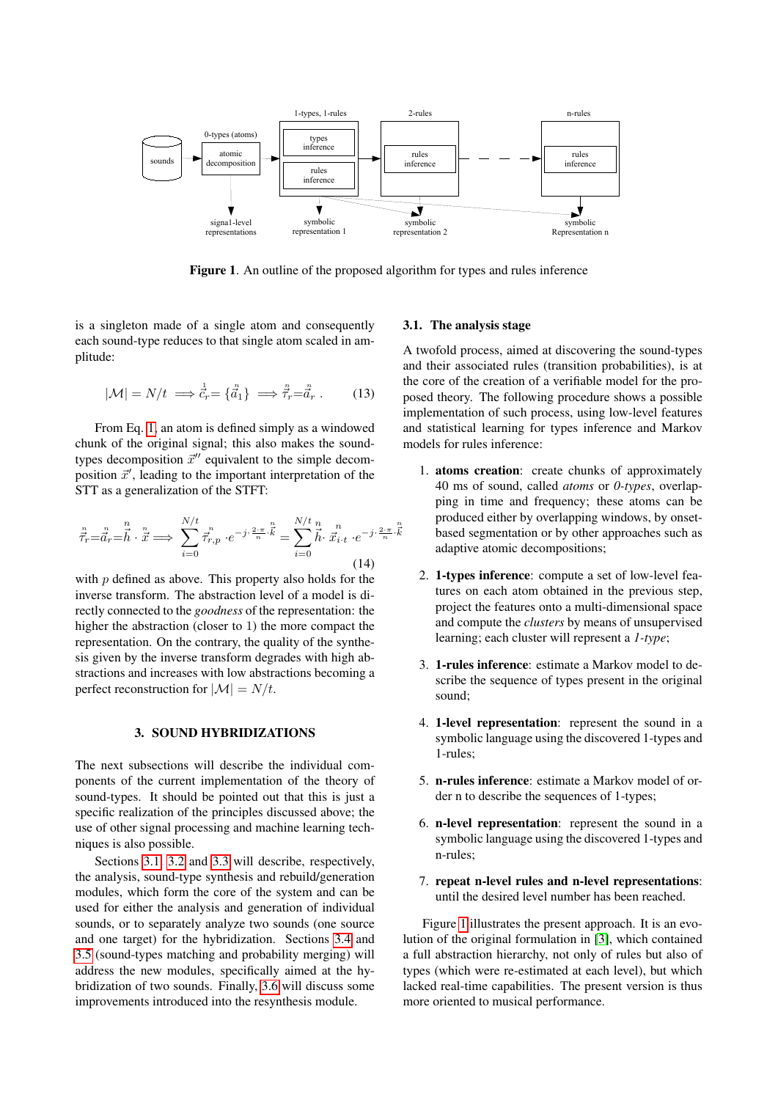

<span id="page-2-2"></span>Figure 1. An outline of the proposed algorithm for types and rules inference

is a singleton made of a single atom and consequently each sound-type reduces to that single atom scaled in amplitude:

$$
|\mathcal{M}| = N/t \implies \vec{c}_r = \{\vec{a}_1\} \implies \vec{\vec{\tau}}_r = \vec{a}_r. \tag{13}
$$

From Eq. [1,](#page-0-2) an atom is defined simply as a windowed chunk of the original signal; this also makes the soundtypes decomposition  $\vec{x}^{\prime\prime}$  equivalent to the simple decomposition  $\vec{x}'$ , leading to the important interpretation of the STT as a generalization of the STFT:

$$
\vec{\tau}_{r} = \vec{\bar{d}}_{r} = \vec{h} \cdot \vec{x} \Longrightarrow \sum_{i=0}^{N/t} \vec{\tau}_{r,p}^{n} \cdot e^{-j \cdot \frac{2 \cdot \pi}{n} \cdot \vec{k}} = \sum_{i=0}^{N/t} \vec{h} \cdot \vec{x}_{i \cdot t}^{n} \cdot e^{-j \cdot \frac{2 \cdot \pi}{n} \cdot \vec{k}}
$$
\n(14)

with  $p$  defined as above. This property also holds for the inverse transform. The abstraction level of a model is directly connected to the *goodness* of the representation: the higher the abstraction (closer to 1) the more compact the representation. On the contrary, the quality of the synthesis given by the inverse transform degrades with high abstractions and increases with low abstractions becoming a perfect reconstruction for  $|\mathcal{M}| = N/t$ .

### 3. SOUND HYBRIDIZATIONS

<span id="page-2-0"></span>The next subsections will describe the individual components of the current implementation of the theory of sound-types. It should be pointed out that this is just a specific realization of the principles discussed above; the use of other signal processing and machine learning techniques is also possible.

Sections [3.1,](#page-2-1) [3.2](#page-4-0) and [3.3](#page-4-1) will describe, respectively, the analysis, sound-type synthesis and rebuild/generation modules, which form the core of the system and can be used for either the analysis and generation of individual sounds, or to separately analyze two sounds (one source and one target) for the hybridization. Sections [3.4](#page-4-2) and [3.5](#page-5-0) (sound-types matching and probability merging) will address the new modules, specifically aimed at the hybridization of two sounds. Finally, [3.6](#page-5-1) will discuss some improvements introduced into the resynthesis module.

## <span id="page-2-1"></span>3.1. The analysis stage

A twofold process, aimed at discovering the sound-types and their associated rules (transition probabilities), is at the core of the creation of a verifiable model for the proposed theory. The following procedure shows a possible implementation of such process, using low-level features and statistical learning for types inference and Markov models for rules inference:

- 1. atoms creation: create chunks of approximately 40 ms of sound, called *atoms* or *0-types*, overlapping in time and frequency; these atoms can be produced either by overlapping windows, by onsetbased segmentation or by other approaches such as adaptive atomic decompositions;
- 2. 1-types inference: compute a set of low-level features on each atom obtained in the previous step, project the features onto a multi-dimensional space and compute the *clusters* by means of unsupervised learning; each cluster will represent a *1-type*;
- 3. 1-rules inference: estimate a Markov model to describe the sequence of types present in the original sound;
- 4. 1-level representation: represent the sound in a symbolic language using the discovered 1-types and 1-rules;
- 5. n-rules inference: estimate a Markov model of order n to describe the sequences of 1-types;
- 6. n-level representation: represent the sound in a symbolic language using the discovered 1-types and n-rules;
- 7. repeat n-level rules and n-level representations: until the desired level number has been reached.

Figure [1](#page-2-2) illustrates the present approach. It is an evolution of the original formulation in [\[3\]](#page-7-3), which contained a full abstraction hierarchy, not only of rules but also of types (which were re-estimated at each level), but which lacked real-time capabilities. The present version is thus more oriented to musical performance.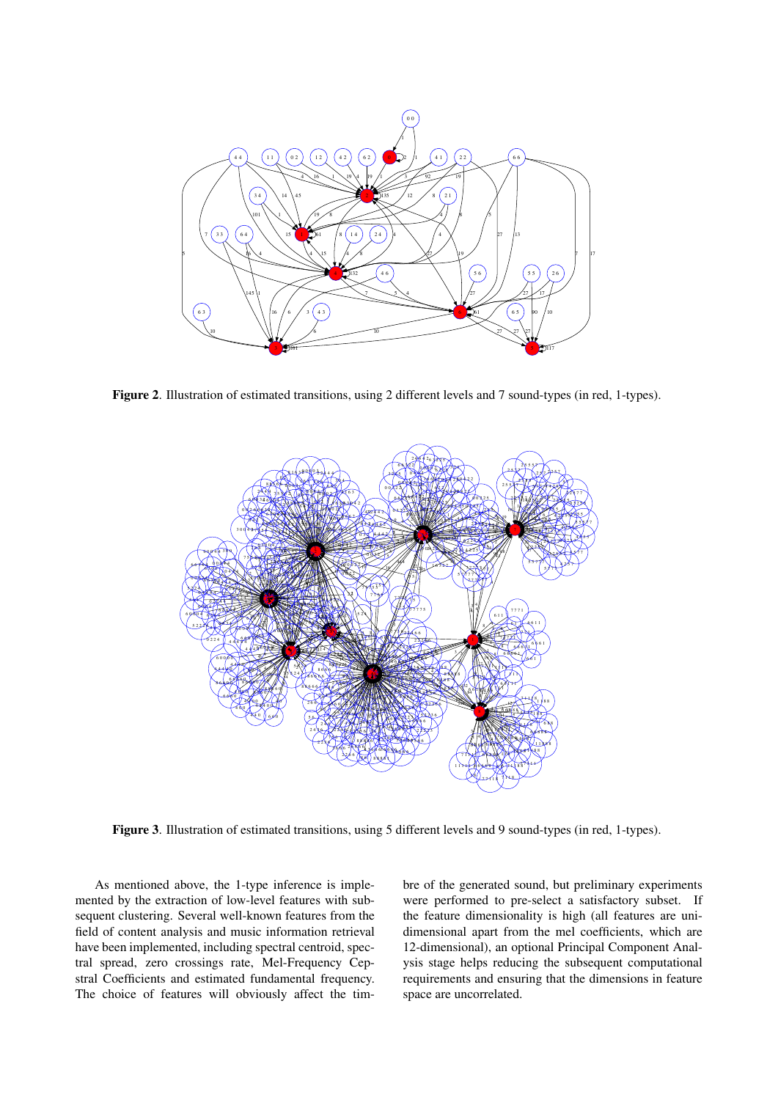

Figure 2. Illustration of estimated transitions, using 2 different levels and 7 sound-types (in red, 1-types).

<span id="page-3-0"></span>

<span id="page-3-1"></span>Figure 3. Illustration of estimated transitions, using 5 different levels and 9 sound-types (in red, 1-types).

As mentioned above, the 1-type inference is implemented by the extraction of low-level features with subsequent clustering. Several well-known features from the field of content analysis and music information retrieval have been implemented, including spectral centroid, spectral spread, zero crossings rate, Mel-Frequency Cepstral Coefficients and estimated fundamental frequency. The choice of features will obviously affect the timbre of the generated sound, but preliminary experiments were performed to pre-select a satisfactory subset. If the feature dimensionality is high (all features are unidimensional apart from the mel coefficients, which are 12-dimensional), an optional Principal Component Analysis stage helps reducing the subsequent computational requirements and ensuring that the dimensions in feature space are uncorrelated.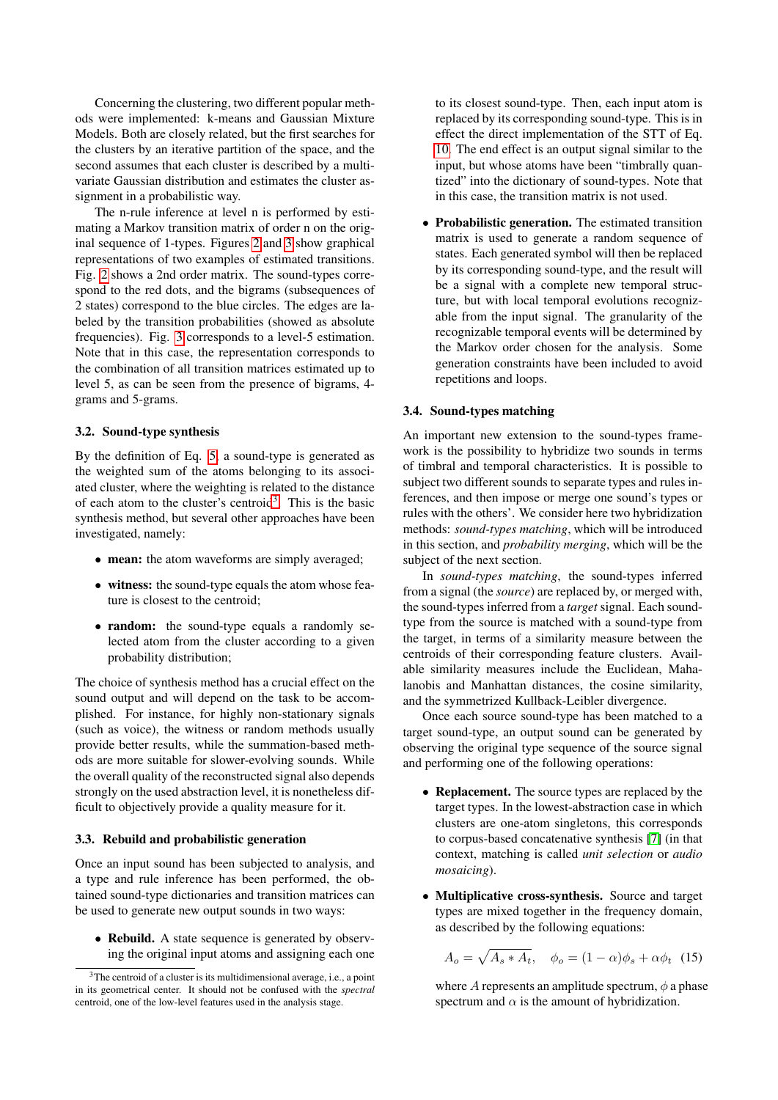Concerning the clustering, two different popular methods were implemented: k-means and Gaussian Mixture Models. Both are closely related, but the first searches for the clusters by an iterative partition of the space, and the second assumes that each cluster is described by a multivariate Gaussian distribution and estimates the cluster assignment in a probabilistic way.

The n-rule inference at level n is performed by estimating a Markov transition matrix of order n on the original sequence of 1-types. Figures [2](#page-3-0) and [3](#page-3-1) show graphical representations of two examples of estimated transitions. Fig. [2](#page-3-0) shows a 2nd order matrix. The sound-types correspond to the red dots, and the bigrams (subsequences of 2 states) correspond to the blue circles. The edges are labeled by the transition probabilities (showed as absolute frequencies). Fig. [3](#page-3-1) corresponds to a level-5 estimation. Note that in this case, the representation corresponds to the combination of all transition matrices estimated up to level 5, as can be seen from the presence of bigrams, 4 grams and 5-grams.

#### <span id="page-4-0"></span>3.2. Sound-type synthesis

By the definition of Eq. [5,](#page-1-6) a sound-type is generated as the weighted sum of the atoms belonging to its associated cluster, where the weighting is related to the distance of each atom to the cluster's centroid<sup>[3](#page-4-3)</sup>. This is the basic synthesis method, but several other approaches have been investigated, namely:

- mean: the atom waveforms are simply averaged;
- witness: the sound-type equals the atom whose feature is closest to the centroid;
- random: the sound-type equals a randomly selected atom from the cluster according to a given probability distribution;

The choice of synthesis method has a crucial effect on the sound output and will depend on the task to be accomplished. For instance, for highly non-stationary signals (such as voice), the witness or random methods usually provide better results, while the summation-based methods are more suitable for slower-evolving sounds. While the overall quality of the reconstructed signal also depends strongly on the used abstraction level, it is nonetheless difficult to objectively provide a quality measure for it.

#### <span id="page-4-1"></span>3.3. Rebuild and probabilistic generation

Once an input sound has been subjected to analysis, and a type and rule inference has been performed, the obtained sound-type dictionaries and transition matrices can be used to generate new output sounds in two ways:

• Rebuild. A state sequence is generated by observing the original input atoms and assigning each one to its closest sound-type. Then, each input atom is replaced by its corresponding sound-type. This is in effect the direct implementation of the STT of Eq. [10.](#page-1-2) The end effect is an output signal similar to the input, but whose atoms have been "timbrally quantized" into the dictionary of sound-types. Note that in this case, the transition matrix is not used.

• Probabilistic generation. The estimated transition matrix is used to generate a random sequence of states. Each generated symbol will then be replaced by its corresponding sound-type, and the result will be a signal with a complete new temporal structure, but with local temporal evolutions recognizable from the input signal. The granularity of the recognizable temporal events will be determined by the Markov order chosen for the analysis. Some generation constraints have been included to avoid repetitions and loops.

#### <span id="page-4-2"></span>3.4. Sound-types matching

An important new extension to the sound-types framework is the possibility to hybridize two sounds in terms of timbral and temporal characteristics. It is possible to subject two different sounds to separate types and rules inferences, and then impose or merge one sound's types or rules with the others'. We consider here two hybridization methods: *sound-types matching*, which will be introduced in this section, and *probability merging*, which will be the subject of the next section.

In *sound-types matching*, the sound-types inferred from a signal (the *source*) are replaced by, or merged with, the sound-types inferred from a *target* signal. Each soundtype from the source is matched with a sound-type from the target, in terms of a similarity measure between the centroids of their corresponding feature clusters. Available similarity measures include the Euclidean, Mahalanobis and Manhattan distances, the cosine similarity, and the symmetrized Kullback-Leibler divergence.

Once each source sound-type has been matched to a target sound-type, an output sound can be generated by observing the original type sequence of the source signal and performing one of the following operations:

- Replacement. The source types are replaced by the target types. In the lowest-abstraction case in which clusters are one-atom singletons, this corresponds to corpus-based concatenative synthesis [\[7\]](#page-7-1) (in that context, matching is called *unit selection* or *audio mosaicing*).
- Multiplicative cross-synthesis. Source and target types are mixed together in the frequency domain, as described by the following equations:

$$
A_o = \sqrt{A_s \ast A_t}, \quad \phi_o = (1 - \alpha)\phi_s + \alpha\phi_t \quad (15)
$$

where A represents an amplitude spectrum,  $\phi$  a phase spectrum and  $\alpha$  is the amount of hybridization.

<span id="page-4-3"></span><sup>&</sup>lt;sup>3</sup>The centroid of a cluster is its multidimensional average, i.e., a point in its geometrical center. It should not be confused with the *spectral* centroid, one of the low-level features used in the analysis stage.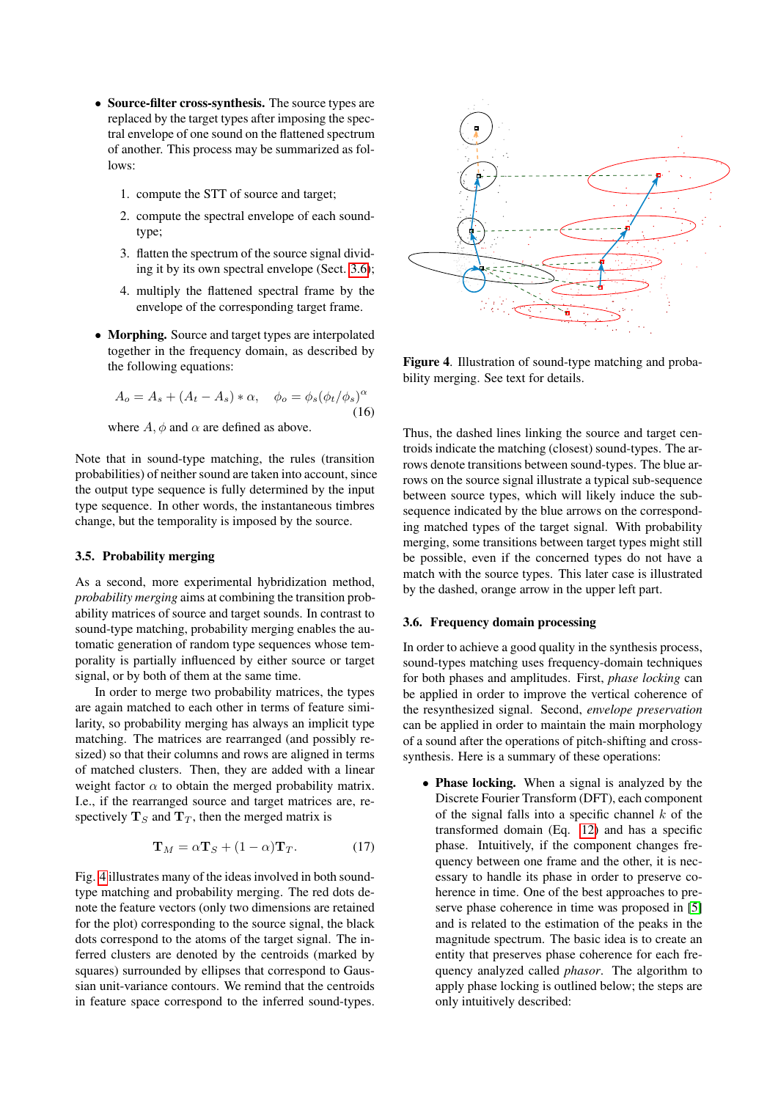- Source-filter cross-synthesis. The source types are replaced by the target types after imposing the spectral envelope of one sound on the flattened spectrum of another. This process may be summarized as follows:
	- 1. compute the STT of source and target;
	- 2. compute the spectral envelope of each soundtype;
	- 3. flatten the spectrum of the source signal dividing it by its own spectral envelope (Sect. [3.6\)](#page-5-1);
	- 4. multiply the flattened spectral frame by the envelope of the corresponding target frame.
- Morphing. Source and target types are interpolated together in the frequency domain, as described by the following equations:

$$
A_o = A_s + (A_t - A_s) * \alpha, \quad \phi_o = \phi_s (\phi_t / \phi_s)^\alpha
$$
\n(16)

where  $A$ ,  $\phi$  and  $\alpha$  are defined as above.

Note that in sound-type matching, the rules (transition probabilities) of neither sound are taken into account, since the output type sequence is fully determined by the input type sequence. In other words, the instantaneous timbres change, but the temporality is imposed by the source.

## <span id="page-5-0"></span>3.5. Probability merging

As a second, more experimental hybridization method, *probability merging* aims at combining the transition probability matrices of source and target sounds. In contrast to sound-type matching, probability merging enables the automatic generation of random type sequences whose temporality is partially influenced by either source or target signal, or by both of them at the same time.

In order to merge two probability matrices, the types are again matched to each other in terms of feature similarity, so probability merging has always an implicit type matching. The matrices are rearranged (and possibly resized) so that their columns and rows are aligned in terms of matched clusters. Then, they are added with a linear weight factor  $\alpha$  to obtain the merged probability matrix. I.e., if the rearranged source and target matrices are, respectively  $T_S$  and  $T_T$ , then the merged matrix is

$$
\mathbf{T}_M = \alpha \mathbf{T}_S + (1 - \alpha) \mathbf{T}_T. \tag{17}
$$

Fig. [4](#page-5-2) illustrates many of the ideas involved in both soundtype matching and probability merging. The red dots denote the feature vectors (only two dimensions are retained for the plot) corresponding to the source signal, the black dots correspond to the atoms of the target signal. The inferred clusters are denoted by the centroids (marked by squares) surrounded by ellipses that correspond to Gaussian unit-variance contours. We remind that the centroids in feature space correspond to the inferred sound-types.

<span id="page-5-2"></span>

Figure 4. Illustration of sound-type matching and probability merging. See text for details.

Thus, the dashed lines linking the source and target centroids indicate the matching (closest) sound-types. The arrows denote transitions between sound-types. The blue arrows on the source signal illustrate a typical sub-sequence between source types, which will likely induce the subsequence indicated by the blue arrows on the corresponding matched types of the target signal. With probability merging, some transitions between target types might still be possible, even if the concerned types do not have a match with the source types. This later case is illustrated by the dashed, orange arrow in the upper left part.

## <span id="page-5-1"></span>3.6. Frequency domain processing

In order to achieve a good quality in the synthesis process, sound-types matching uses frequency-domain techniques for both phases and amplitudes. First, *phase locking* can be applied in order to improve the vertical coherence of the resynthesized signal. Second, *envelope preservation* can be applied in order to maintain the main morphology of a sound after the operations of pitch-shifting and crosssynthesis. Here is a summary of these operations:

• Phase locking. When a signal is analyzed by the Discrete Fourier Transform (DFT), each component of the signal falls into a specific channel  $k$  of the transformed domain (Eq. [12\)](#page-1-5) and has a specific phase. Intuitively, if the component changes frequency between one frame and the other, it is necessary to handle its phase in order to preserve coherence in time. One of the best approaches to preserve phase coherence in time was proposed in [\[5\]](#page-7-5) and is related to the estimation of the peaks in the magnitude spectrum. The basic idea is to create an entity that preserves phase coherence for each frequency analyzed called *phasor*. The algorithm to apply phase locking is outlined below; the steps are only intuitively described: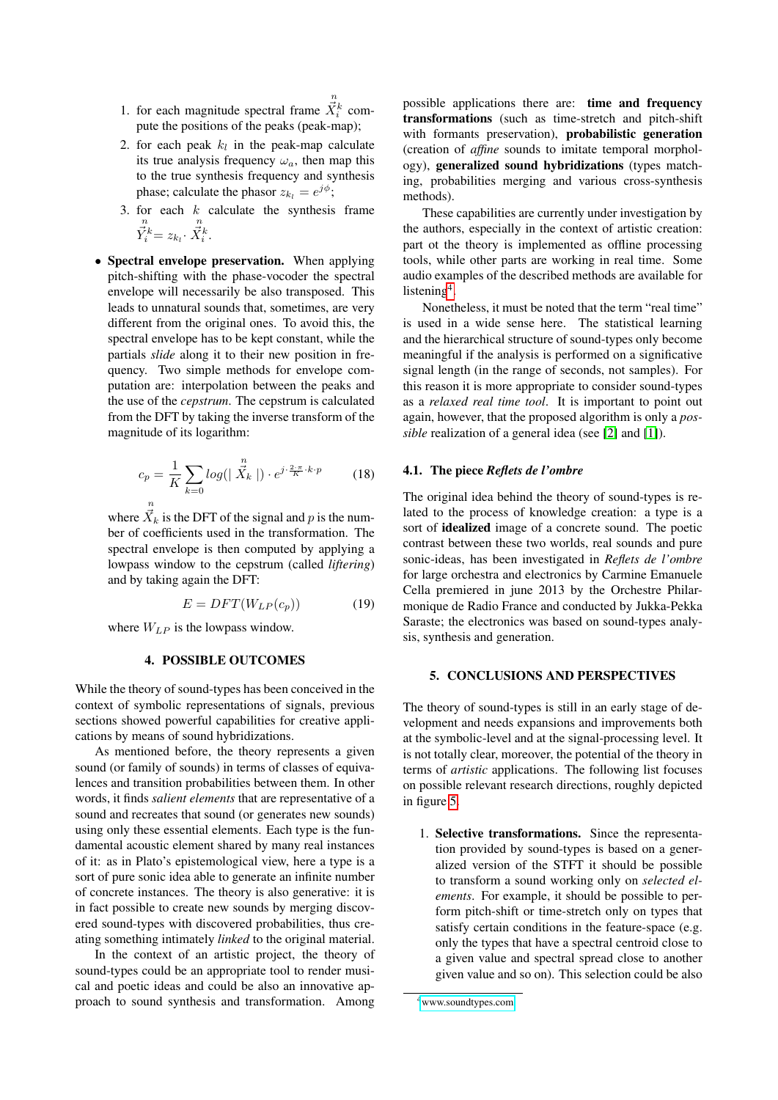- 1. for each magnitude spectral frame  $\vec{X}_i^k$  compute the positions of the peaks (peak-map);
- 2. for each peak  $k_l$  in the peak-map calculate its true analysis frequency  $\omega_a$ , then map this to the true synthesis frequency and synthesis phase; calculate the phasor  $z_{k_l} = e^{j\phi}$ ;
- 3. for each k calculate the synthesis frame<br>  $\overrightarrow{Y}_i^k = z_{k_l} \cdot \overrightarrow{X}_i^k$ .  $\vec{X}_i^k$ .
- Spectral envelope preservation. When applying pitch-shifting with the phase-vocoder the spectral envelope will necessarily be also transposed. This leads to unnatural sounds that, sometimes, are very different from the original ones. To avoid this, the spectral envelope has to be kept constant, while the partials *slide* along it to their new position in frequency. Two simple methods for envelope computation are: interpolation between the peaks and the use of the *cepstrum*. The cepstrum is calculated from the DFT by taking the inverse transform of the magnitude of its logarithm:

$$
c_p = \frac{1}{K} \sum_{k=0} log(|\vec{X}_k|) \cdot e^{j \cdot \frac{2 \cdot \pi}{K} \cdot k \cdot p}
$$
 (18)

where  $\vec{X}_k$  is the DFT of the signal and p is the number of coefficients used in the transformation. The spectral envelope is then computed by applying a lowpass window to the cepstrum (called *liftering*) and by taking again the DFT:

$$
E = DFT(W_{LP}(c_p))\tag{19}
$$

where  $W_{LP}$  is the lowpass window.

#### 4. POSSIBLE OUTCOMES

While the theory of sound-types has been conceived in the context of symbolic representations of signals, previous sections showed powerful capabilities for creative applications by means of sound hybridizations.

As mentioned before, the theory represents a given sound (or family of sounds) in terms of classes of equivalences and transition probabilities between them. In other words, it finds *salient elements* that are representative of a sound and recreates that sound (or generates new sounds) using only these essential elements. Each type is the fundamental acoustic element shared by many real instances of it: as in Plato's epistemological view, here a type is a sort of pure sonic idea able to generate an infinite number of concrete instances. The theory is also generative: it is in fact possible to create new sounds by merging discovered sound-types with discovered probabilities, thus creating something intimately *linked* to the original material.

In the context of an artistic project, the theory of sound-types could be an appropriate tool to render musical and poetic ideas and could be also an innovative approach to sound synthesis and transformation. Among possible applications there are: time and frequency transformations (such as time-stretch and pitch-shift with formants preservation), probabilistic generation (creation of *affine* sounds to imitate temporal morphology), generalized sound hybridizations (types matching, probabilities merging and various cross-synthesis methods).

These capabilities are currently under investigation by the authors, especially in the context of artistic creation: part ot the theory is implemented as offline processing tools, while other parts are working in real time. Some audio examples of the described methods are available for listening<sup>[4](#page-6-0)</sup>.

Nonetheless, it must be noted that the term "real time" is used in a wide sense here. The statistical learning and the hierarchical structure of sound-types only become meaningful if the analysis is performed on a significative signal length (in the range of seconds, not samples). For this reason it is more appropriate to consider sound-types as a *relaxed real time tool*. It is important to point out again, however, that the proposed algorithm is only a *possible* realization of a general idea (see [\[2\]](#page-7-4) and [\[1\]](#page-7-6)).

#### 4.1. The piece *Reflets de l'ombre*

The original idea behind the theory of sound-types is related to the process of knowledge creation: a type is a sort of idealized image of a concrete sound. The poetic contrast between these two worlds, real sounds and pure sonic-ideas, has been investigated in *Reflets de l'ombre* for large orchestra and electronics by Carmine Emanuele Cella premiered in june 2013 by the Orchestre Philarmonique de Radio France and conducted by Jukka-Pekka Saraste; the electronics was based on sound-types analysis, synthesis and generation.

#### 5. CONCLUSIONS AND PERSPECTIVES

The theory of sound-types is still in an early stage of development and needs expansions and improvements both at the symbolic-level and at the signal-processing level. It is not totally clear, moreover, the potential of the theory in terms of *artistic* applications. The following list focuses on possible relevant research directions, roughly depicted in figure [5.](#page-7-7)

1. Selective transformations. Since the representation provided by sound-types is based on a generalized version of the STFT it should be possible to transform a sound working only on *selected elements*. For example, it should be possible to perform pitch-shift or time-stretch only on types that satisfy certain conditions in the feature-space (e.g. only the types that have a spectral centroid close to a given value and spectral spread close to another given value and so on). This selection could be also

<span id="page-6-0"></span><sup>4</sup>[www.soundtypes.com](http://www.soundtypes.com)